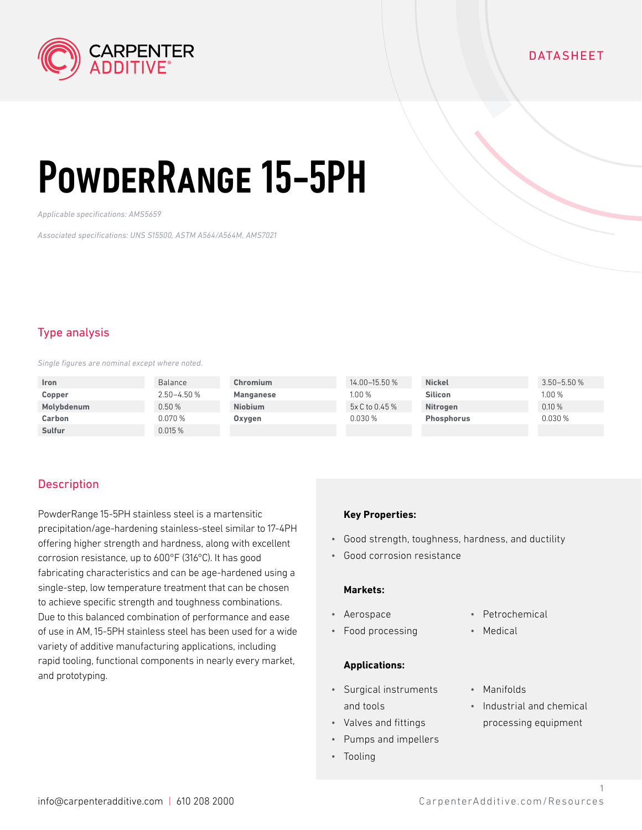

## **DATASHEET**

# PowderRange 15-5PH

*Applicable specifications: AMS5659*

*Associated specifications: UNS S15500, ASTM A564/A564M, AMS7021*

## Type analysis

*Single figures are nominal except where noted.*

| <b>Iron</b>   | Balance     | Chromium         | 14.00-15.50 %  | <b>Nickel</b>     | $3.50 - 5.50 %$ |
|---------------|-------------|------------------|----------------|-------------------|-----------------|
| Copper        | 2.50-4.50 % | <b>Manganese</b> | 1.00%          | <b>Silicon</b>    | 1.00%           |
| Molybdenum    | 0.50%       | <b>Niobium</b>   | 5x C to 0.45 % | <b>Nitrogen</b>   | 0.10%           |
| Carbon        | $0.070\,\%$ | Oxygen           | 0.030%         | <b>Phosphorus</b> | 0.030%          |
| <b>Sulfur</b> | 0.015%      |                  |                |                   |                 |

## **Description**

PowderRange 15-5PH stainless steel is a martensitic precipitation/age-hardening stainless-steel similar to 17-4PH offering higher strength and hardness, along with excellent corrosion resistance, up to 600°F (316°C). It has good fabricating characteristics and can be age-hardened using a single-step, low temperature treatment that can be chosen to achieve specific strength and toughness combinations. Due to this balanced combination of performance and ease of use in AM, 15-5PH stainless steel has been used for a wide variety of additive manufacturing applications, including rapid tooling, functional components in nearly every market, and prototyping.

#### **Key Properties:**

- Good strength, toughness, hardness, and ductility
- Good corrosion resistance

#### **Markets:**

- Aerospace
- Food processing

#### **Applications:**

- Surgical instruments and tools
- Valves and fittings
- Pumps and impellers
- Tooling
- Petrochemical
- Medical
- Manifolds
- Industrial and chemical processing equipment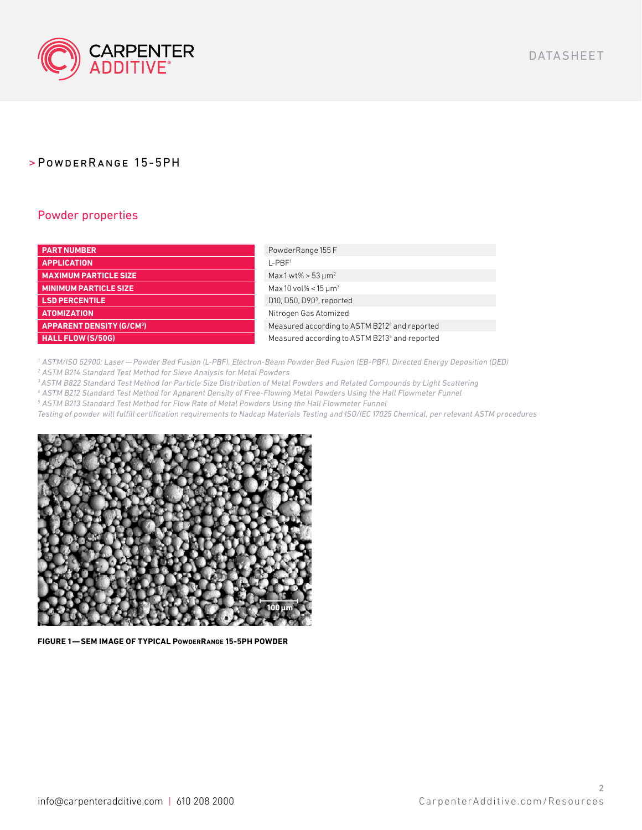

## Powder properties

| <b>PART NUMBER</b>              | PowderRange 155 F                                         |
|---------------------------------|-----------------------------------------------------------|
| <b>APPLICATION</b>              | $I - PBF1$                                                |
| <b>MAXIMUM PARTICLE SIZE</b>    | Max 1 wt% > $53 \mu m^2$                                  |
| <b>MINIMUM PARTICLE SIZE</b>    | Max 10 vol% < 15 $\mu$ m <sup>3</sup>                     |
| <b>LSD PERCENTILE</b>           | D10, D50, D90 <sup>3</sup> , reported                     |
| <b>ATOMIZATION</b>              | Nitrogen Gas Atomized                                     |
| <b>APPARENT DENSITY (G/CM3)</b> | Measured according to ASTM B2124 and reported             |
| HALL FLOW (S/50G)               | Measured according to ASTM B213 <sup>5</sup> and reported |

*1 ASTM/ISO 52900: Laser—Powder Bed Fusion (L-PBF), Electron-Beam Powder Bed Fusion (EB-PBF), Directed Energy Deposition (DED) 2 ASTM B214 Standard Test Method for Sieve Analysis for Metal Powders* 

*3 ASTM B822 Standard Test Method for Particle Size Distribution of Metal Powders and Related Compounds by Light Scattering* 

*4 ASTM B212 Standard Test Method for Apparent Density of Free-Flowing Metal Powders Using the Hall Flowmeter Funnel* 

*5 ASTM B213 Standard Test Method for Flow Rate of Metal Powders Using the Hall Flowmeter Funnel*

*Testing of powder will fulfill certification requirements to Nadcap Materials Testing and ISO/IEC 17025 Chemical, per relevant ASTM procedures*



**FIGURE 1—SEM IMAGE OF TYPICAL PowderRange 15-5PH POWDER**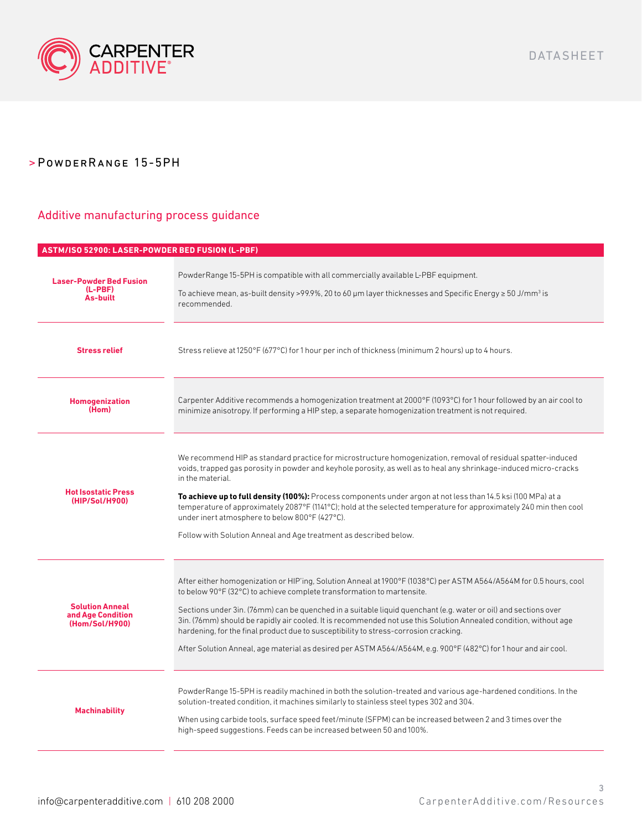

### Additive manufacturing process guidance

## **ASTM/ISO 52900: LASER-POWDER BED FUSION (L-PBF) Laser-Powder Bed Fusion (L-PBF) As-built** PowderRange 15-5PH is compatible with all commercially available L-PBF equipment. To achieve mean, as-built density >99.9%, 20 to 60 µm layer thicknesses and Specific Energy ≥ 50 J/mm $^3$  is recommended. **Stress relief** Stress relieve at 1250°F (677°C) for 1 hour per inch of thickness (minimum 2 hours) up to 4 hours. **Homogenization (Hom)** Carpenter Additive recommends a homogenization treatment at 2000°F (1093°C) for 1 hour followed by an air cool to minimize anisotropy. If performing a HIP step, a separate homogenization treatment is not required. **Hot Isostatic Press (HIP/Sol/H900)** We recommend HIP as standard practice for microstructure homogenization, removal of residual spatter-induced voids, trapped gas porosity in powder and keyhole porosity, as well as to heal any shrinkage-induced micro-cracks in the material. **To achieve up to full density (100%):** Process components under argon at not less than 14.5 ksi (100 MPa) at a temperature of approximately 2087°F (1141°C); hold at the selected temperature for approximately 240 min then cool under inert atmosphere to below 800°F (427°C). Follow with Solution Anneal and Age treatment as described below. **Solution Anneal and Age Condition (Hom/Sol/H900)** After either homogenization or HIP'ing, Solution Anneal at 1900°F (1038°C) per ASTM A564/A564M for 0.5 hours, cool to below 90°F (32°C) to achieve complete transformation to martensite. Sections under 3in. (76mm) can be quenched in a suitable liquid quenchant (e.g. water or oil) and sections over 3in. (76mm) should be rapidly air cooled. It is recommended not use this Solution Annealed condition, without age hardening, for the final product due to susceptibility to stress-corrosion cracking. After Solution Anneal, age material as desired per ASTM A564/A564M, e.g. 900°F (482°C) for 1 hour and air cool. **Machinability** PowderRange 15-5PH is readily machined in both the solution-treated and various age-hardened conditions. In the solution-treated condition, it machines similarly to stainless steel types 302 and 304. When using carbide tools, surface speed feet/minute (SFPM) can be increased between 2 and 3 times over the high-speed suggestions. Feeds can be increased between 50 and 100%.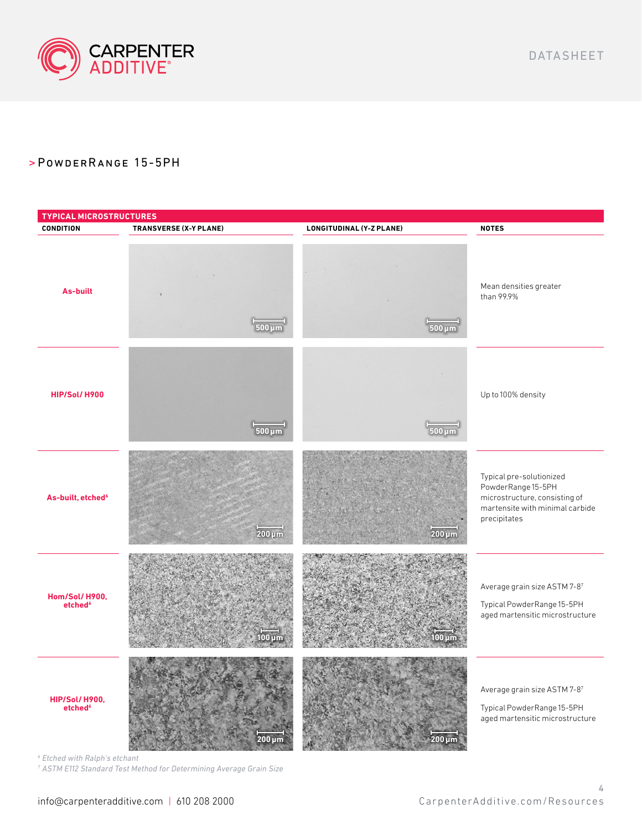



*6 Etched with Ralph's etchant*

*7 ASTM E112 Standard Test Method for Determining Average Grain Size* 

DATASHEET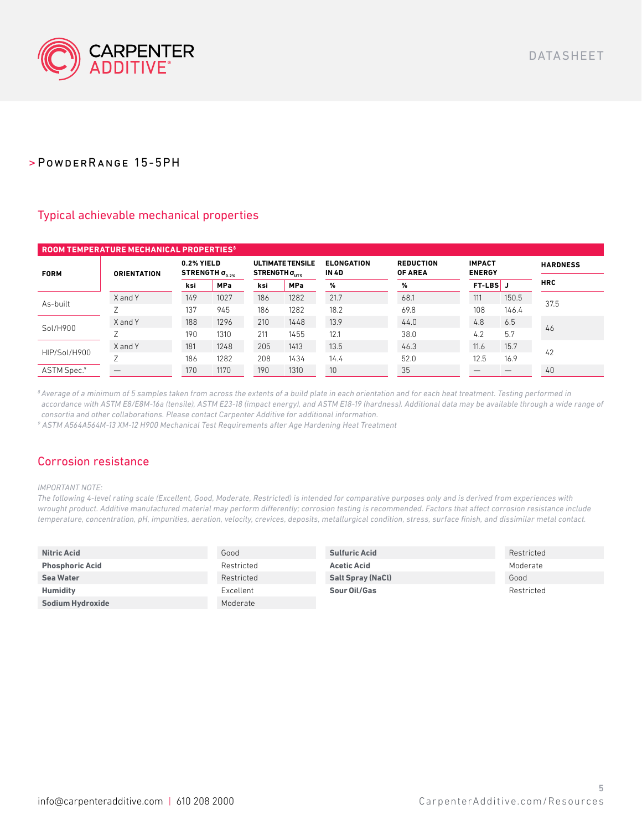

## Typical achievable mechanical properties

| <b>ROOM TEMPERATURE MECHANICAL PROPERTIES<sup>8</sup></b> |                    |                                            |            |                                                           |            |                                   |                                    |                                |       |                 |
|-----------------------------------------------------------|--------------------|--------------------------------------------|------------|-----------------------------------------------------------|------------|-----------------------------------|------------------------------------|--------------------------------|-------|-----------------|
| <b>FORM</b>                                               | <b>ORIENTATION</b> | 0.2% YIELD<br>STRENGTH $\sigma_{_{0.2\%}}$ |            | <b>ULTIMATE TENSILE</b><br>STRENGTH $\sigma_{_{\rm UTS}}$ |            | <b>ELONGATION</b><br><b>IN 4D</b> | <b>REDUCTION</b><br><b>OF AREA</b> | <b>IMPACT</b><br><b>ENERGY</b> |       | <b>HARDNESS</b> |
|                                                           |                    | ksi                                        | <b>MPa</b> | ksi                                                       | <b>MPa</b> | %                                 | %                                  | <b>FT-LBS</b> J                |       | <b>HRC</b>      |
| As-built                                                  | X and Y            | 149                                        | 1027       | 186                                                       | 1282       | 21.7                              | 68.1                               | 111                            | 150.5 | 37.5            |
|                                                           |                    | 137                                        | 945        | 186                                                       | 1282       | 18.2                              | 69.8                               | 108                            | 146.4 |                 |
|                                                           | X and Y            | 188                                        | 1296       | 210                                                       | 1448       | 13.9                              | 44.0                               | 4.8                            | 6.5   |                 |
| Sol/H900                                                  |                    | 190                                        | 1310       | 211                                                       | 1455       | 12.1                              | 38.0                               | 4.2                            | 5.7   | 46              |
|                                                           | X and Y            | 181                                        | 1248       | 205                                                       | 1413       | 13.5                              | 46.3                               | 11.6                           | 15.7  | 42              |
| HIP/Sol/H900                                              |                    | 186                                        | 1282       | 208                                                       | 1434       | 14.4                              | 52.0                               | 12.5                           | 16.9  |                 |
| ASTM Spec.9                                               |                    | 170                                        | 1170       | 190                                                       | 1310       | 10                                | 35                                 |                                |       | 40              |

*8 Average of a minimum of 5 samples taken from across the extents of a build plate in each orientation and for each heat treatment. Testing performed in accordance with ASTM E8/E8M-16a (tensile), ASTM E23-18 (impact energy), and ASTM E18-19 (hardness). Additional data may be available through a wide range of consortia and other collaborations. Please contact Carpenter Additive for additional information.*

*9 ASTM A564A564M-13 XM-12 H900 Mechanical Test Requirements after Age Hardening Heat Treatment*

## Corrosion resistance

#### *IMPORTANT NOTE:*

*The following 4-level rating scale (Excellent, Good, Moderate, Restricted) is intended for comparative purposes only and is derived from experiences with wrought product. Additive manufactured material may perform differently; corrosion testing is recommended. Factors that affect corrosion resistance include temperature, concentration, pH, impurities, aeration, velocity, crevices, deposits, metallurgical condition, stress, surface finish, and dissimilar metal contact.*

| <b>Nitric Acid</b>     | Good       | <b>Sulfuric Acid</b>     | Restricted |
|------------------------|------------|--------------------------|------------|
| <b>Phosphoric Acid</b> | Restricted | <b>Acetic Acid</b>       | Moderate   |
| <b>Sea Water</b>       | Restricted | <b>Salt Spray (NaCl)</b> | Good       |
| <b>Humidity</b>        | Excellent  | Sour Oil/Gas             | Restricted |
| Sodium Hydroxide       | Moderate   |                          |            |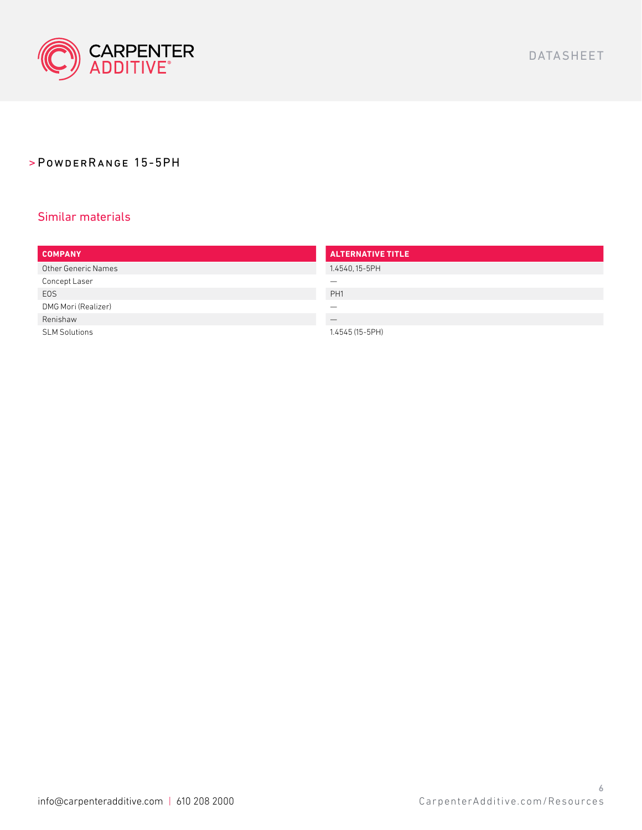

## Similar materials

| <b>COMPANY</b>             | <b>ALTERNATIVE TITLE</b> |
|----------------------------|--------------------------|
| <b>Other Generic Names</b> | 1.4540, 15-5PH           |
| Concept Laser              |                          |
| <b>EOS</b>                 | PH <sub>1</sub>          |
| DMG Mori (Realizer)        |                          |
| Renishaw                   |                          |
| <b>SLM Solutions</b>       | 1.4545 (15-5PH)          |